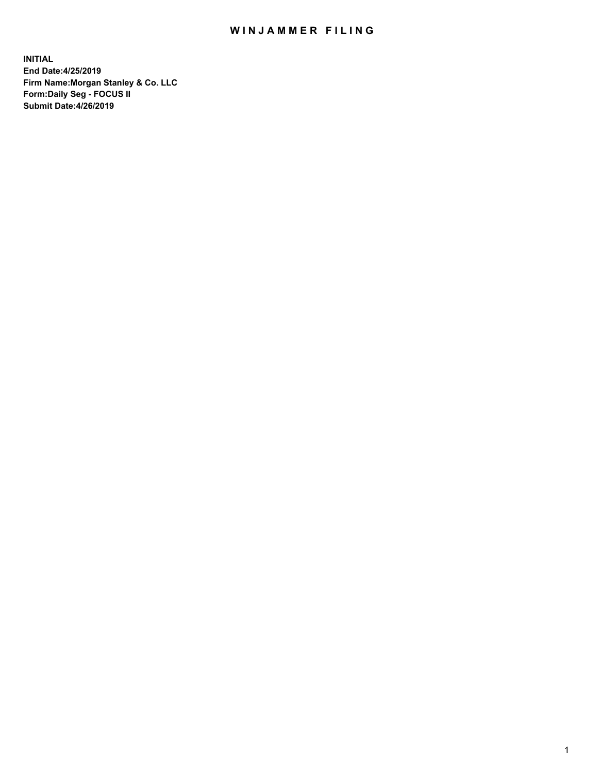## WIN JAMMER FILING

**INITIAL End Date:4/25/2019 Firm Name:Morgan Stanley & Co. LLC Form:Daily Seg - FOCUS II Submit Date:4/26/2019**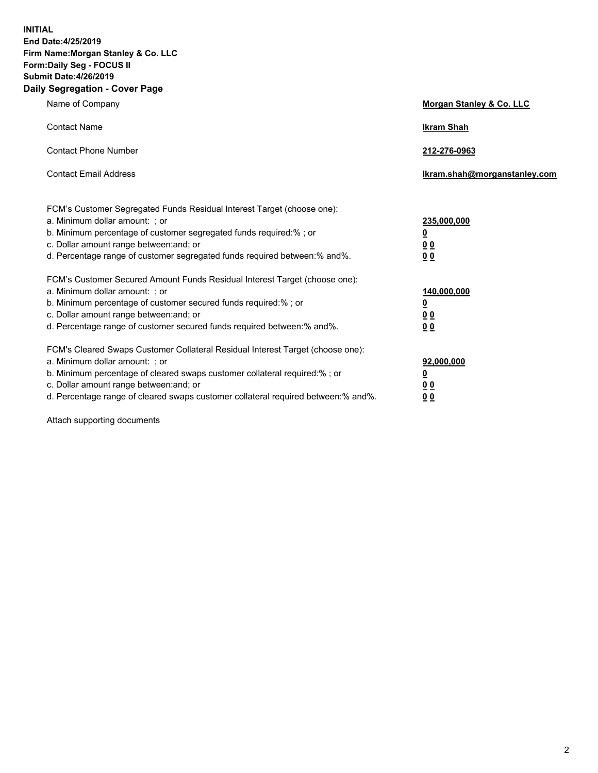**INITIAL End Date:4/25/2019 Firm Name:Morgan Stanley & Co. LLC Form:Daily Seg - FOCUS II Submit Date:4/26/2019 Daily Segregation - Cover Page**

| Name of Company                                                                   | Morgan Stanley & Co. LLC     |
|-----------------------------------------------------------------------------------|------------------------------|
| <b>Contact Name</b>                                                               | <b>Ikram Shah</b>            |
| <b>Contact Phone Number</b>                                                       | 212-276-0963                 |
| <b>Contact Email Address</b>                                                      | Ikram.shah@morganstanley.com |
| FCM's Customer Segregated Funds Residual Interest Target (choose one):            |                              |
| a. Minimum dollar amount: ; or                                                    | 235,000,000                  |
| b. Minimum percentage of customer segregated funds required:% ; or                | <u>0</u>                     |
| c. Dollar amount range between: and; or                                           | <u>0 0</u>                   |
| d. Percentage range of customer segregated funds required between: % and %.       | 00                           |
| FCM's Customer Secured Amount Funds Residual Interest Target (choose one):        |                              |
| a. Minimum dollar amount: ; or                                                    | 140,000,000                  |
| b. Minimum percentage of customer secured funds required:%; or                    | <u>0</u>                     |
| c. Dollar amount range between: and; or                                           | 0 <sub>0</sub>               |
| d. Percentage range of customer secured funds required between:% and%.            | 0 <sub>0</sub>               |
| FCM's Cleared Swaps Customer Collateral Residual Interest Target (choose one):    |                              |
| a. Minimum dollar amount: ; or                                                    | 92,000,000                   |
| b. Minimum percentage of cleared swaps customer collateral required:% ; or        | <u>0</u>                     |
| c. Dollar amount range between: and; or                                           | 0 Q                          |
| d. Percentage range of cleared swaps customer collateral required between:% and%. | 00                           |

Attach supporting documents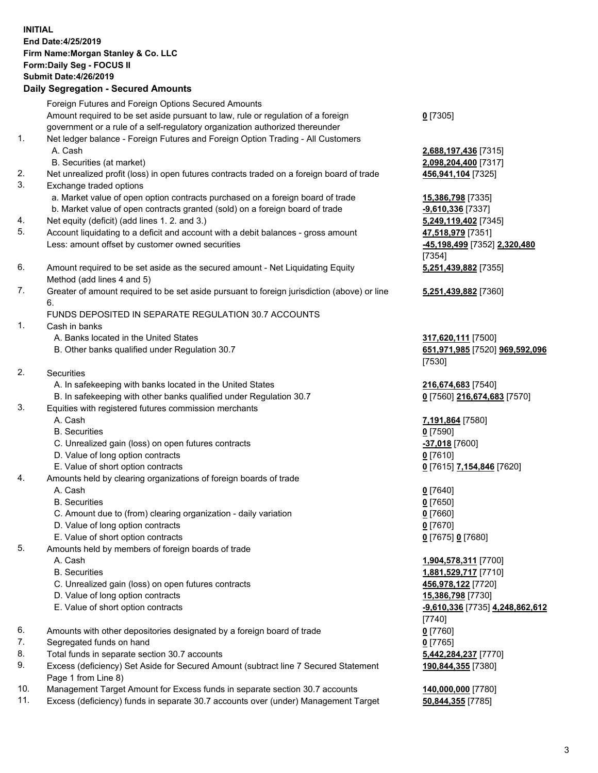## **INITIAL End Date:4/25/2019 Firm Name:Morgan Stanley & Co. LLC Form:Daily Seg - FOCUS II Submit Date:4/26/2019 Daily Segregation - Secured Amounts** Foreign Futures and Foreign Options Secured Amounts Amount required to be set aside pursuant to law, rule or regulation of a foreign government or a rule of a self-regulatory organization authorized thereunder **0** [7305] 1. Net ledger balance - Foreign Futures and Foreign Option Trading - All Customers A. Cash **2,688,197,436** [7315] B. Securities (at market) **2,098,204,400** [7317] 2. Net unrealized profit (loss) in open futures contracts traded on a foreign board of trade **456,941,104** [7325] 3. Exchange traded options a. Market value of open option contracts purchased on a foreign board of trade **15,386,798** [7335] b. Market value of open contracts granted (sold) on a foreign board of trade **-9,610,336** [7337] 4. Net equity (deficit) (add lines 1. 2. and 3.) **5,249,119,402** [7345] 5. Account liquidating to a deficit and account with a debit balances - gross amount **47,518,979** [7351] Less: amount offset by customer owned securities **-45,198,499** [7352] **2,320,480** [7354] 6. Amount required to be set aside as the secured amount - Net Liquidating Equity Method (add lines 4 and 5) **5,251,439,882** [7355] 7. Greater of amount required to be set aside pursuant to foreign jurisdiction (above) or line 6. **5,251,439,882** [7360] FUNDS DEPOSITED IN SEPARATE REGULATION 30.7 ACCOUNTS 1. Cash in banks A. Banks located in the United States **317,620,111** [7500] B. Other banks qualified under Regulation 30.7 **651,971,985** [7520] **969,592,096** [7530] 2. Securities A. In safekeeping with banks located in the United States **216,674,683** [7540] B. In safekeeping with other banks qualified under Regulation 30.7 **0** [7560] **216,674,683** [7570] 3. Equities with registered futures commission merchants A. Cash **7,191,864** [7580] B. Securities **0** [7590] C. Unrealized gain (loss) on open futures contracts **-37,018** [7600] D. Value of long option contracts **0** [7610] E. Value of short option contracts **0** [7615] **7,154,846** [7620] 4. Amounts held by clearing organizations of foreign boards of trade A. Cash **0** [7640] B. Securities **0** [7650] C. Amount due to (from) clearing organization - daily variation **0** [7660] D. Value of long option contracts **0** [7670] E. Value of short option contracts **0** [7675] **0** [7680] 5. Amounts held by members of foreign boards of trade A. Cash **1,904,578,311** [7700] B. Securities **1,881,529,717** [7710] C. Unrealized gain (loss) on open futures contracts **456,978,122** [7720] D. Value of long option contracts **15,386,798** [7730] E. Value of short option contracts **-9,610,336** [7735] **4,248,862,612** [7740] 6. Amounts with other depositories designated by a foreign board of trade **0** [7760] 7. Segregated funds on hand **0** [7765]

- 8. Total funds in separate section 30.7 accounts **5,442,284,237** [7770]
- 9. Excess (deficiency) Set Aside for Secured Amount (subtract line 7 Secured Statement Page 1 from Line 8)
- 10. Management Target Amount for Excess funds in separate section 30.7 accounts **140,000,000** [7780]
- 11. Excess (deficiency) funds in separate 30.7 accounts over (under) Management Target **50,844,355** [7785]

3

**190,844,355** [7380]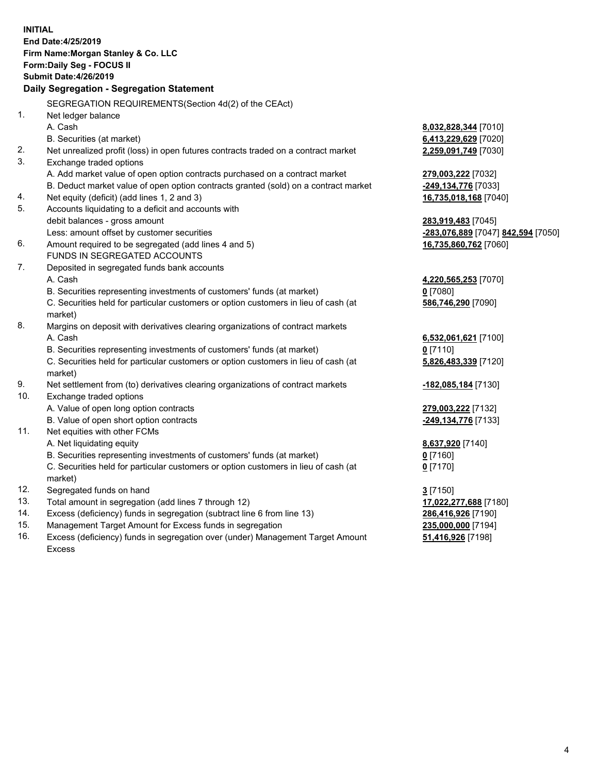|     | <b>INITIAL</b><br>End Date: 4/25/2019<br>Firm Name: Morgan Stanley & Co. LLC<br>Form: Daily Seg - FOCUS II<br><b>Submit Date:4/26/2019</b><br>Daily Segregation - Segregation Statement |                                    |
|-----|-----------------------------------------------------------------------------------------------------------------------------------------------------------------------------------------|------------------------------------|
|     | SEGREGATION REQUIREMENTS (Section 4d(2) of the CEAct)                                                                                                                                   |                                    |
| 1.  | Net ledger balance                                                                                                                                                                      |                                    |
|     | A. Cash                                                                                                                                                                                 | 8,032,828,344 [7010]               |
|     | B. Securities (at market)                                                                                                                                                               | 6,413,229,629 [7020]               |
| 2.  | Net unrealized profit (loss) in open futures contracts traded on a contract market                                                                                                      | 2,259,091,749 [7030]               |
| 3.  | Exchange traded options                                                                                                                                                                 |                                    |
|     | A. Add market value of open option contracts purchased on a contract market                                                                                                             | 279,003,222 [7032]                 |
|     | B. Deduct market value of open option contracts granted (sold) on a contract market                                                                                                     | <u>-249,134,776</u> [7033]         |
| 4.  | Net equity (deficit) (add lines 1, 2 and 3)                                                                                                                                             | 16,735,018,168 [7040]              |
| 5.  | Accounts liquidating to a deficit and accounts with                                                                                                                                     |                                    |
|     | debit balances - gross amount                                                                                                                                                           | <u>283,919,483</u> [7045]          |
|     | Less: amount offset by customer securities                                                                                                                                              | -283,076,889 [7047] 842,594 [7050] |
| 6.  | Amount required to be segregated (add lines 4 and 5)                                                                                                                                    | 16,735,860,762 [7060]              |
|     | <b>FUNDS IN SEGREGATED ACCOUNTS</b>                                                                                                                                                     |                                    |
| 7.  | Deposited in segregated funds bank accounts                                                                                                                                             |                                    |
|     | A. Cash                                                                                                                                                                                 | <u>4,220,565,253</u> [7070]        |
|     | B. Securities representing investments of customers' funds (at market)                                                                                                                  | <u>0</u> [7080]                    |
|     | C. Securities held for particular customers or option customers in lieu of cash (at<br>market)                                                                                          | 586,746,290 [7090]                 |
| 8.  | Margins on deposit with derivatives clearing organizations of contract markets                                                                                                          |                                    |
|     | A. Cash                                                                                                                                                                                 | 6,532,061,621 [7100]               |
|     | B. Securities representing investments of customers' funds (at market)                                                                                                                  | $0$ [7110]                         |
|     | C. Securities held for particular customers or option customers in lieu of cash (at<br>market)                                                                                          | 5,826,483,339 [7120]               |
| 9.  | Net settlement from (to) derivatives clearing organizations of contract markets                                                                                                         | <u>-182,085,184</u> [7130]         |
| 10. | Exchange traded options                                                                                                                                                                 |                                    |
|     | A. Value of open long option contracts                                                                                                                                                  | 279,003,222 [7132]                 |
|     | B. Value of open short option contracts                                                                                                                                                 | -249,134,776 [7133]                |
| 11. | Net equities with other FCMs                                                                                                                                                            |                                    |
|     | A. Net liquidating equity                                                                                                                                                               | 8,637,920 [7140]                   |
|     | B. Securities representing investments of customers' funds (at market)                                                                                                                  | $0$ [7160]                         |
|     | C. Securities held for particular customers or option customers in lieu of cash (at                                                                                                     | 0 <sup>[7170]</sup>                |
|     | market)                                                                                                                                                                                 |                                    |
| 12. | Segregated funds on hand                                                                                                                                                                | 3 [7150]                           |
| 13. | Total amount in segregation (add lines 7 through 12)                                                                                                                                    | 17,022,277,688 [7180]              |
| 14. | Excess (deficiency) funds in segregation (subtract line 6 from line 13)                                                                                                                 | 286,416,926 [7190]                 |
| 15. | Management Target Amount for Excess funds in segregation                                                                                                                                | 235,000,000 [7194]                 |

16. Excess (deficiency) funds in segregation over (under) Management Target Amount Excess

**51,416,926** [7198]